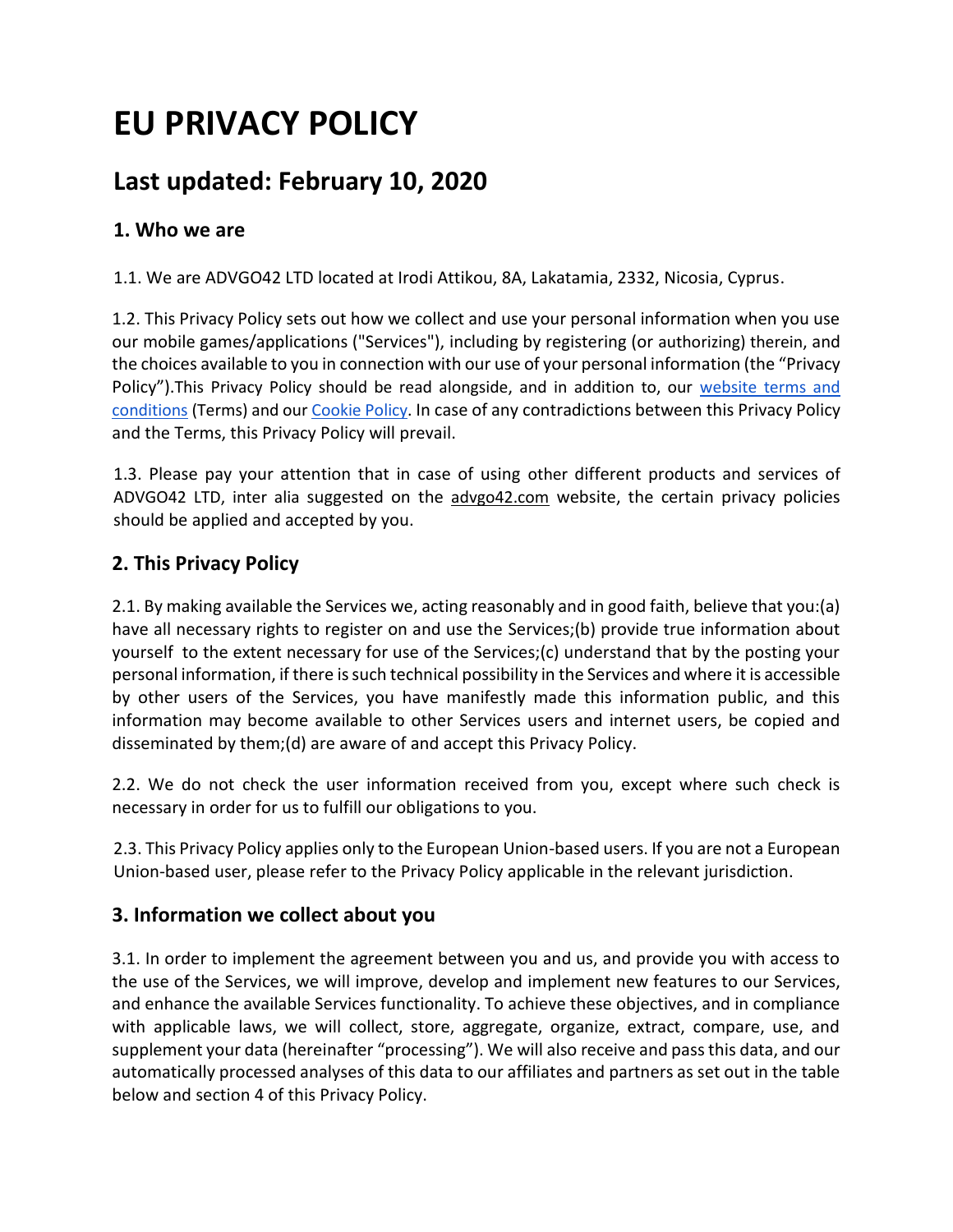# **EU PRIVACY POLICY**

# **Last updated: February 10, 2020**

# **1. Who we are**

1.1. We are ADVGO42 LTD located at Irodi Attikou, 8A, Lakatamia, 2332, Nicosia, Cyprus.

1.2. This Privacy Policy sets out how we collect and use your personal information when you use our mobile games/applications ("Services"), including by registering (or authorizing) therein, and the choices available to you in connection with our use of your personal information (the "Privacy Policy").This Privacy Policy should be read alongside, and in addition to, our [website terms and](https://docs.google.com/document/d/e/2PACX-1vQ01GeJy6ojfElfJww2GYvZVfjMDsahG861sPPTE5JnYZw5KTZfEisX0EchYWISLOGO7QDVItEEbpfW/pub)  [conditions](https://docs.google.com/document/d/e/2PACX-1vQ01GeJy6ojfElfJww2GYvZVfjMDsahG861sPPTE5JnYZw5KTZfEisX0EchYWISLOGO7QDVItEEbpfW/pub) (Terms) and our [Cookie Policy.](https://docs.google.com/document/d/e/2PACX-1vQGq_WCTlsQExS-PNEHRJtV3VKvtyd4MGp9QlwqkhEGKeMV-TPju8lwlRDV7aQhO8t4XZvA2lzwn5-P/pub) In case of any contradictions between this Privacy Policy and the Terms, this Privacy Policy will prevail.

1.3. Please pay your attention that in case of using other different products and services of ADVGO42 LTD, inter alia suggested on the [advgo42.com](https://advgo42.com/) website, the certain privacy policies should be applied and accepted by you.

### **2. This Privacy Policy**

2.1. By making available the Services we, acting reasonably and in good faith, believe that you:(a) have all necessary rights to register on and use the Services;(b) provide true information about yourself to the extent necessary for use of the Services;(c) understand that by the posting your personal information, if there is such technical possibility in the Services and where it is accessible by other users of the Services, you have manifestly made this information public, and this information may become available to other Services users and internet users, be copied and disseminated by them;(d) are aware of and accept this Privacy Policy.

2.2. We do not check the user information received from you, except where such check is necessary in order for us to fulfill our obligations to you.

2.3. This Privacy Policy applies only to the European Union-based users. If you are not a European Union-based user, please refer to the Privacy Policy applicable in the relevant jurisdiction.

### **3. Information we collect about you**

3.1. In order to implement the agreement between you and us, and provide you with access to the use of the Services, we will improve, develop and implement new features to our Services, and enhance the available Services functionality. To achieve these objectives, and in compliance with applicable laws, we will collect, store, aggregate, organize, extract, compare, use, and supplement your data (hereinafter "processing"). We will also receive and pass this data, and our automatically processed analyses of this data to our affiliates and partners as set out in the table below and section 4 of this Privacy Policy.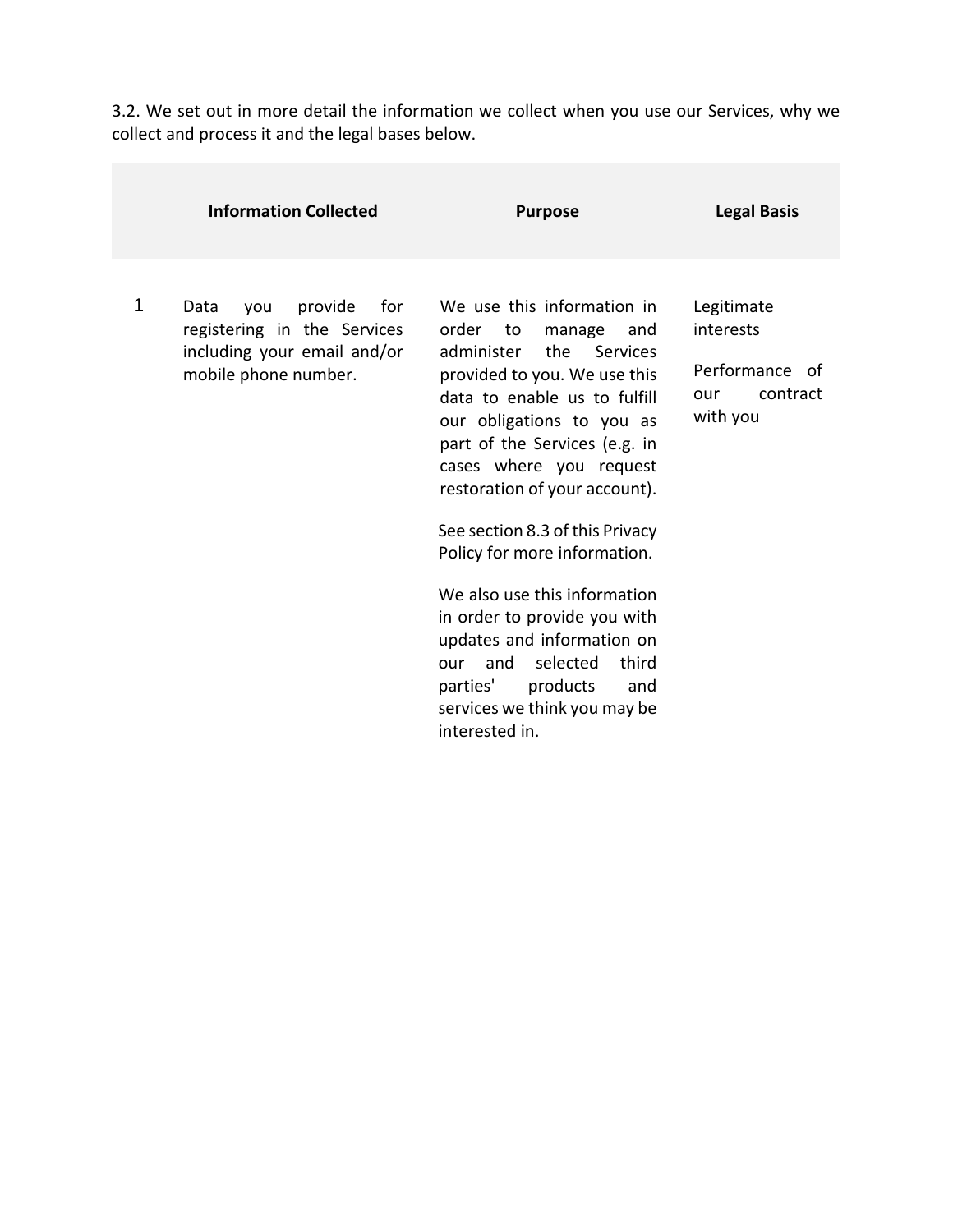3.2. We set out in more detail the information we collect when you use our Services, why we collect and process it and the legal bases below.

|   | <b>Information Collected</b>                                                                                        | <b>Purpose</b>                                                                                                                                                                                                                                                                                                                                                                                                                                                                                                                                                       | <b>Legal Basis</b>                                                       |
|---|---------------------------------------------------------------------------------------------------------------------|----------------------------------------------------------------------------------------------------------------------------------------------------------------------------------------------------------------------------------------------------------------------------------------------------------------------------------------------------------------------------------------------------------------------------------------------------------------------------------------------------------------------------------------------------------------------|--------------------------------------------------------------------------|
| 1 | provide<br>for<br>Data<br>you<br>registering in the Services<br>including your email and/or<br>mobile phone number. | We use this information in<br>order<br>to<br>manage<br>and<br>the Services<br>administer<br>provided to you. We use this<br>data to enable us to fulfill<br>our obligations to you as<br>part of the Services (e.g. in<br>cases where you request<br>restoration of your account).<br>See section 8.3 of this Privacy<br>Policy for more information.<br>We also use this information<br>in order to provide you with<br>updates and information on<br>selected<br>third<br>our and<br>products<br>parties'<br>and<br>services we think you may be<br>interested in. | Legitimate<br>interests<br>Performance of<br>contract<br>our<br>with you |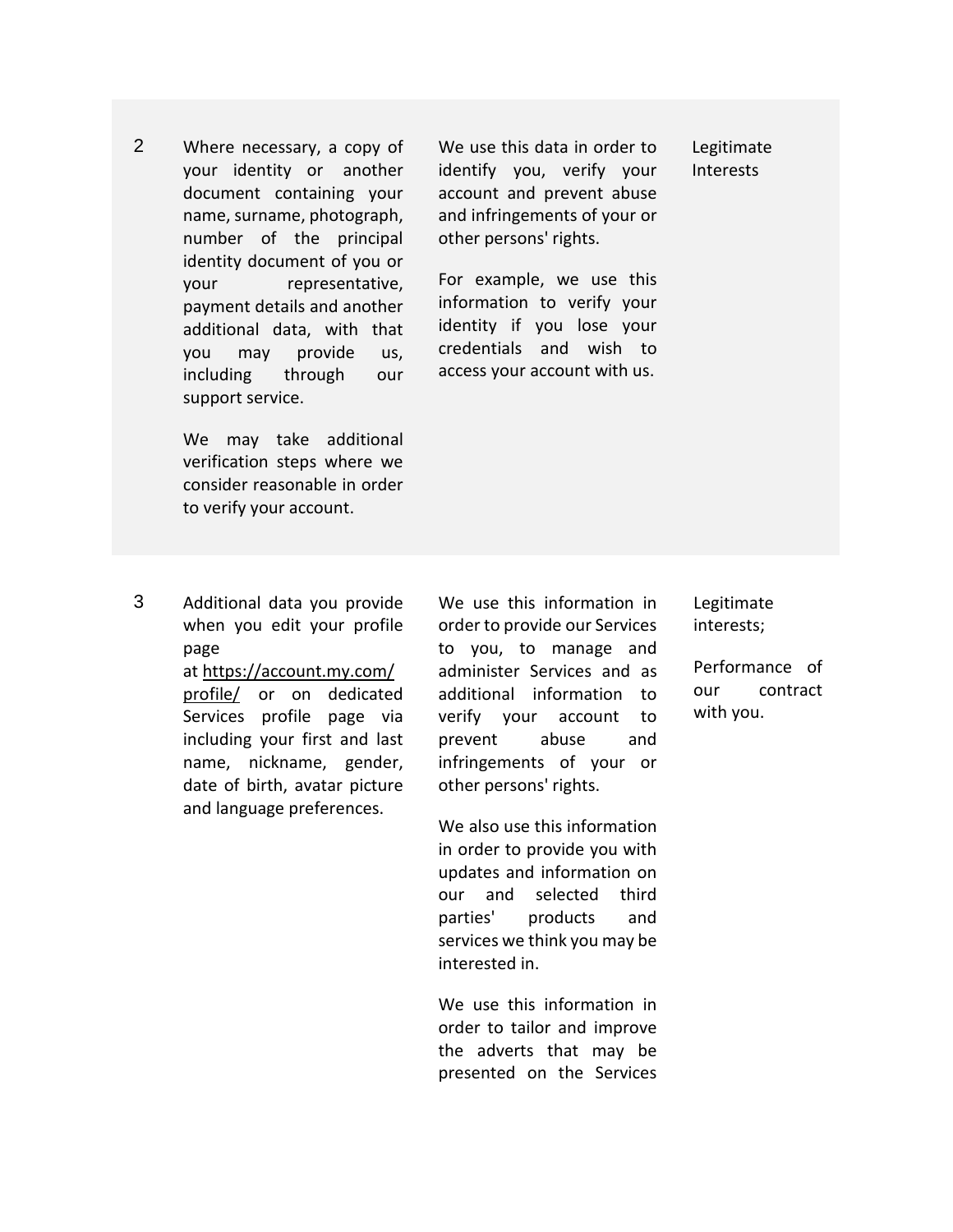2 Where necessary, a copy of your identity or another document containing your name, surname, photograph, number of the principal identity document of you or your representative, payment details and another additional data, with that you may provide us, including through our support service.

> We may take additional verification steps where we consider reasonable in order to verify your account.

We use this data in order to identify you, verify your account and prevent abuse and infringements of your or other persons' rights.

For example, we use this

Legitimate Interests

information to verify your identity if you lose your credentials and wish to access your account with us.

3 Additional data you provide when you edit your profile page

at [https://account.my.com/](https://account.my.com/profile/) [profile/](https://account.my.com/profile/) or on dedicated Services profile page via including your first and last name, nickname, gender, date of birth, avatar picture and language preferences.

We use this information in order to provide our Services to you, to manage and administer Services and as additional information to verify your account to prevent abuse and infringements of your or other persons' rights.

We also use this information in order to provide you with updates and information on our and selected third parties' products and services we think you may be interested in.

We use this information in order to tailor and improve the adverts that may be presented on the Services Legitimate interests;

Performance of our contract with you.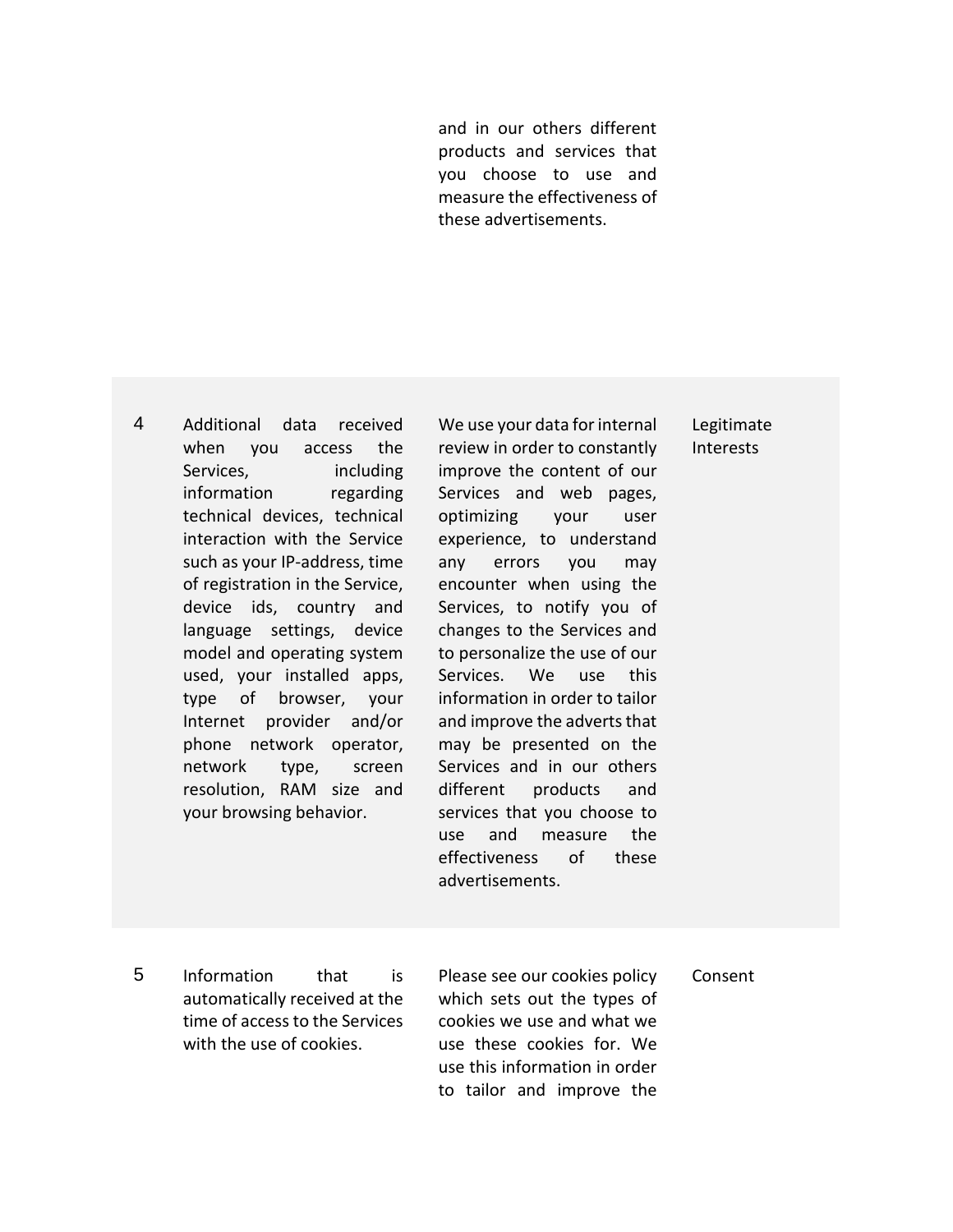and in our others different products and services that you choose to use and measure the effectiveness of these advertisements.

4 Additional data received when you access the Services, including information regarding technical devices, technical interaction with the Service such as your IP-address, time of registration in the Service, device ids, country and language settings, device model and operating system used, your installed apps, type of browser, your Internet provider and/or phone network operator, network type, screen resolution, RAM size and your browsing behavior.

We use your data for internal review in order to constantly improve the content of our Services and web pages, optimizing your user experience, to understand any errors you may encounter when using the Services, to notify you of changes to the Services and to personalize the use of our Services. We use this information in order to tailor and improve the adverts that may be presented on the Services and in our others different products and services that you choose to use and measure the effectiveness of these advertisements.

Legitimate Interests

5 Information that is automatically received at the time of access to the Services with the use of cookies.

Please see our cookies policy which sets out the types of cookies we use and what we use these cookies for. We use this information in order to tailor and improve the

Consent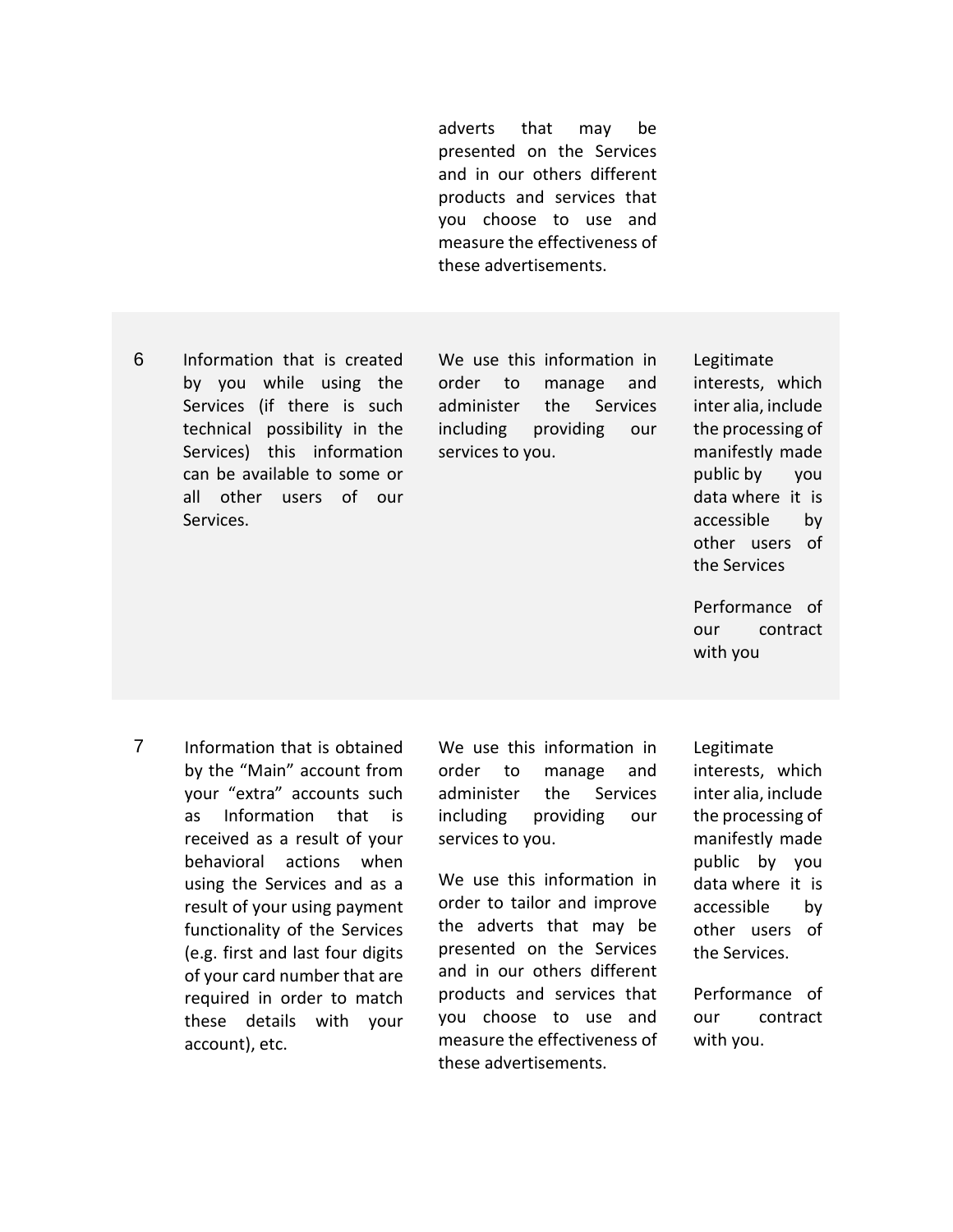adverts that may be presented on the Services and in our others different products and services that you choose to use and measure the effectiveness of these advertisements.

6 Information that is created by you while using the Services (if there is such technical possibility in the Services) this information can be available to some or all other users of our Services.

We use this information in order to manage and administer the Services including providing our services to you.

Legitimate interests, which inter alia, include the processing of manifestly made public by you data where it is accessible by other users of the Services

Performance of our contract with you

7 Information that is obtained by the "Main" account from your "extra" accounts such as Information that is received as a result of your behavioral actions when using the Services and as a result of your using payment functionality of the Services (e.g. first and last four digits of your card number that are required in order to match these details with your account), etc.

We use this information in order to manage and administer the Services including providing our services to you.

We use this information in order to tailor and improve the adverts that may be presented on the Services and in our others different products and services that you choose to use and measure the effectiveness of these advertisements.

Legitimate

interests, which inter alia, include the processing of manifestly made public by you data where it is accessible by other users of the Services.

Performance of our contract with you.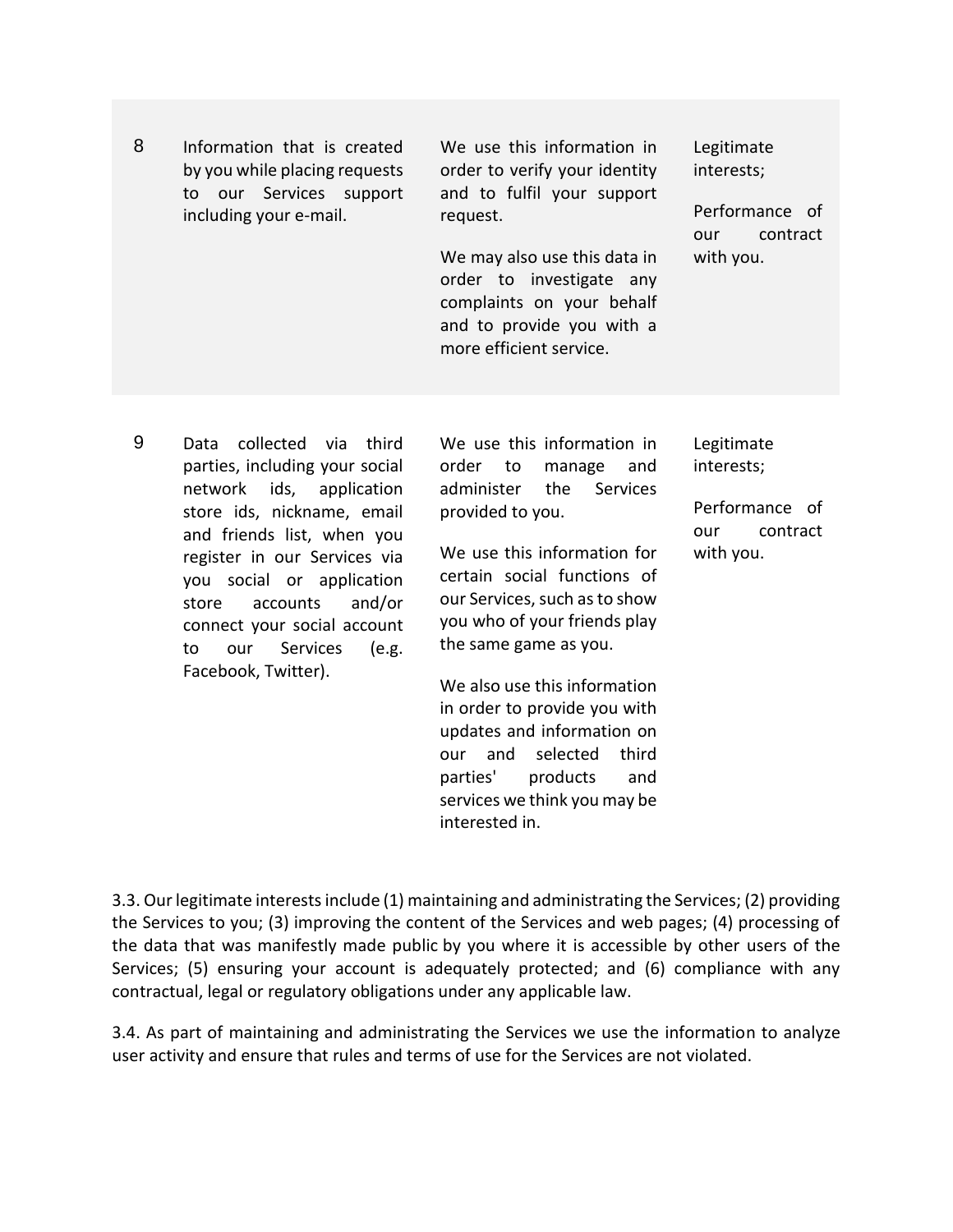| 8 | Information that is created<br>by you while placing requests<br>to our Services support<br>including your e-mail.                                                                                                                                                                                                                                  | We use this information in<br>order to verify your identity<br>and to fulfil your support<br>request.<br>We may also use this data in<br>order to investigate any<br>complaints on your behalf<br>and to provide you with a<br>more efficient service.                                                                                                                                                                                                                                           | Legitimate<br>interests;<br>Performance of<br>contract<br>our<br>with you. |
|---|----------------------------------------------------------------------------------------------------------------------------------------------------------------------------------------------------------------------------------------------------------------------------------------------------------------------------------------------------|--------------------------------------------------------------------------------------------------------------------------------------------------------------------------------------------------------------------------------------------------------------------------------------------------------------------------------------------------------------------------------------------------------------------------------------------------------------------------------------------------|----------------------------------------------------------------------------|
| 9 | collected<br>third<br>Data<br>via<br>parties, including your social<br>ids, application<br>network<br>store ids, nickname, email<br>and friends list, when you<br>register in our Services via<br>you social or application<br>and/or<br>accounts<br>store<br>connect your social account<br>Services<br>our<br>to<br>(e.g.<br>Facebook, Twitter). | We use this information in<br>order<br>to<br>manage<br>and<br>administer<br>the<br><b>Services</b><br>provided to you.<br>We use this information for<br>certain social functions of<br>our Services, such as to show<br>you who of your friends play<br>the same game as you.<br>We also use this information<br>in order to provide you with<br>updates and information on<br>selected<br>third<br>and<br>our<br>products<br>parties'<br>and<br>services we think you may be<br>interested in. | Legitimate<br>interests;<br>Performance of<br>contract<br>our<br>with you. |

3.3. Our legitimate interests include (1) maintaining and administrating the Services; (2) providing the Services to you; (3) improving the content of the Services and web pages; (4) processing of the data that was manifestly made public by you where it is accessible by other users of the Services; (5) ensuring your account is adequately protected; and (6) compliance with any contractual, legal or regulatory obligations under any applicable law.

3.4. As part of maintaining and administrating the Services we use the information to analyze user activity and ensure that rules and terms of use for the Services are not violated.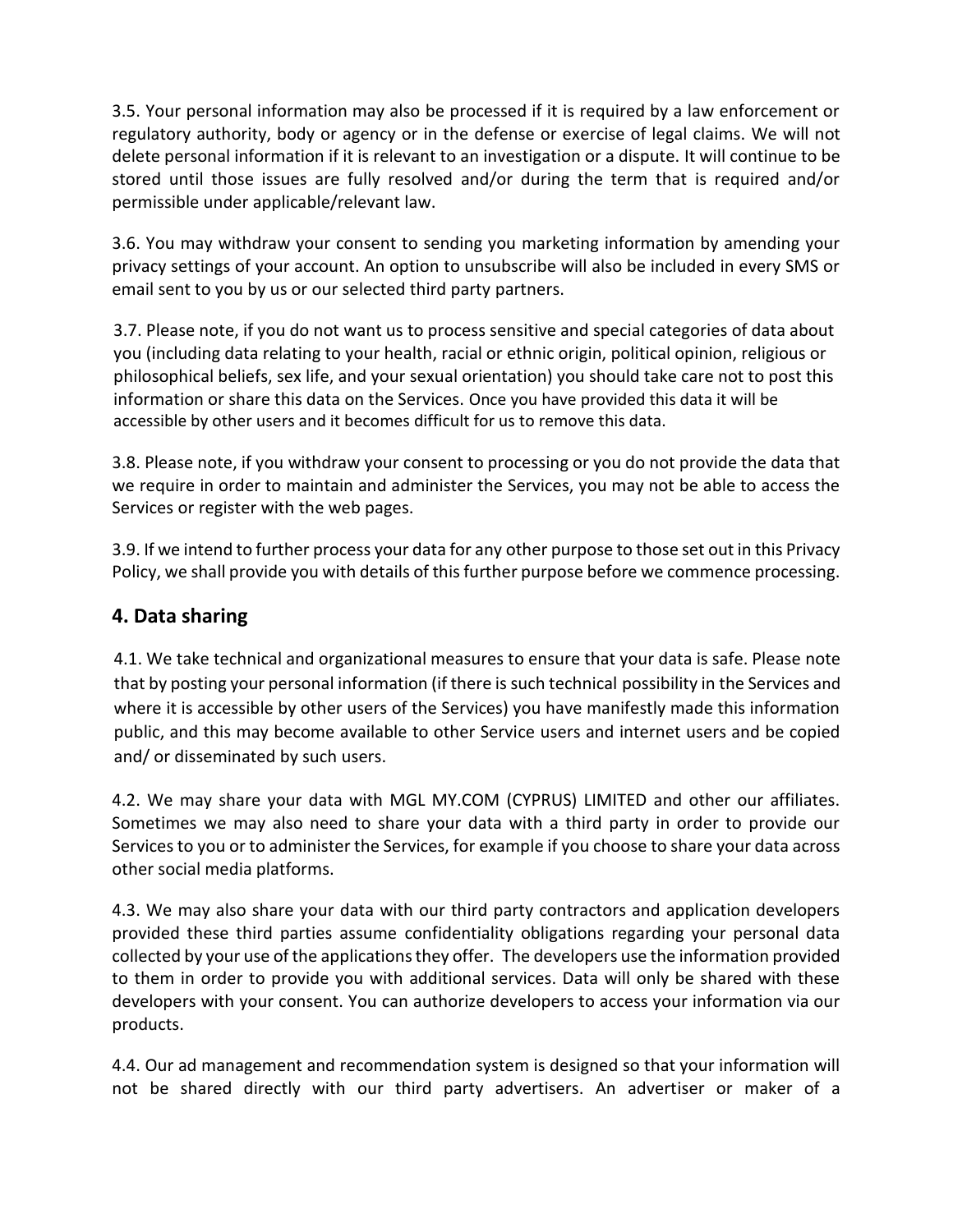3.5. Your personal information may also be processed if it is required by a law enforcement or regulatory authority, body or agency or in the defense or exercise of legal claims. We will not delete personal information if it is relevant to an investigation or a dispute. It will continue to be stored until those issues are fully resolved and/or during the term that is required and/or permissible under applicable/relevant law.

3.6. You may withdraw your consent to sending you marketing information by amending your privacy settings of your account. An option to unsubscribe will also be included in every SMS or email sent to you by us or our selected third party partners.

3.7. Please note, if you do not want us to process sensitive and special categories of data about you (including data relating to your health, racial or ethnic origin, political opinion, religious or philosophical beliefs, sex life, and your sexual orientation) you should take care not to post this information or share this data on the Services. Once you have provided this data it will be accessible by other users and it becomes difficult for us to remove this data.

3.8. Please note, if you withdraw your consent to processing or you do not provide the data that we require in order to maintain and administer the Services, you may not be able to access the Services or register with the web pages.

3.9. If we intend to further process your data for any other purpose to those set out in this Privacy Policy, we shall provide you with details of this further purpose before we commence processing.

#### **4. Data sharing**

4.1. We take technical and organizational measures to ensure that your data is safe. Please note that by posting your personal information (if there is such technical possibility in the Services and where it is accessible by other users of the Services) you have manifestly made this information public, and this may become available to other Service users and internet users and be copied and/ or disseminated by such users.

4.2. We may share your data with MGL MY.COM (CYPRUS) LIMITED and other our affiliates. Sometimes we may also need to share your data with a third party in order to provide our Services to you or to administer the Services, for example if you choose to share your data across other social media platforms.

4.3. We may also share your data with our third party contractors and application developers provided these third parties assume confidentiality obligations regarding your personal data collected by your use of the applications they offer. The developers use the information provided to them in order to provide you with additional services. Data will only be shared with these developers with your consent. You can authorize developers to access your information via our products.

4.4. Our ad management and recommendation system is designed so that your information will not be shared directly with our third party advertisers. An advertiser or maker of a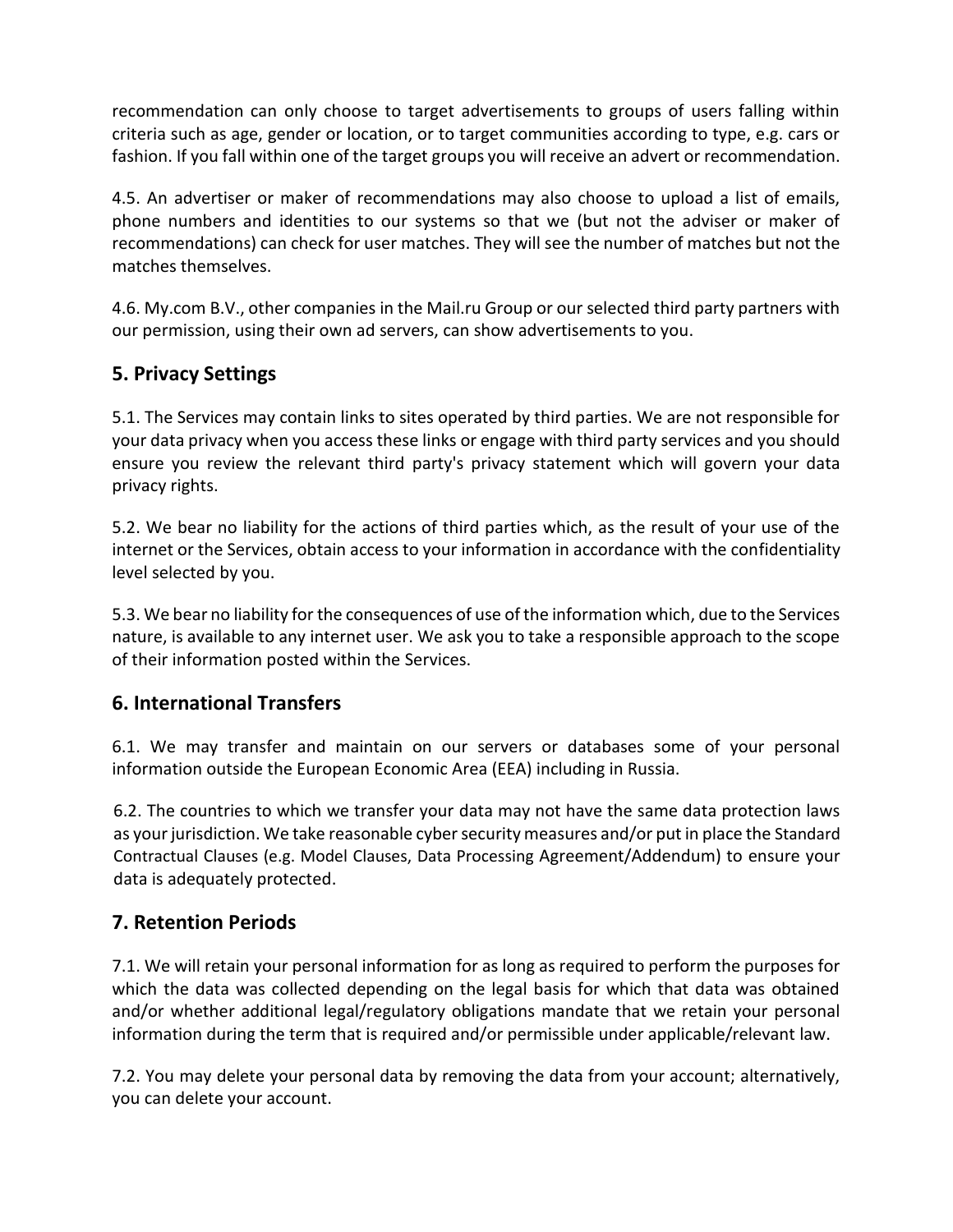recommendation can only choose to target advertisements to groups of users falling within criteria such as age, gender or location, or to target communities according to type, e.g. cars or fashion. If you fall within one of the target groups you will receive an advert or recommendation.

4.5. An advertiser or maker of recommendations may also choose to upload a list of emails, phone numbers and identities to our systems so that we (but not the adviser or maker of recommendations) can check for user matches. They will see the number of matches but not the matches themselves.

4.6. My.com B.V., other companies in the Mail.ru Group or our selected third party partners with our permission, using their own ad servers, can show advertisements to you.

# **5. Privacy Settings**

5.1. The Services may contain links to sites operated by third parties. We are not responsible for your data privacy when you access these links or engage with third party services and you should ensure you review the relevant third party's privacy statement which will govern your data privacy rights.

5.2. We bear no liability for the actions of third parties which, as the result of your use of the internet or the Services, obtain access to your information in accordance with the confidentiality level selected by you.

5.3. We bear no liability for the consequences of use of the information which, due to the Services nature, is available to any internet user. We ask you to take a responsible approach to the scope of their information posted within the Services.

# **6. International Transfers**

6.1. We may transfer and maintain on our servers or databases some of your personal information outside the European Economic Area (EEA) including in Russia.

6.2. The countries to which we transfer your data may not have the same data protection laws as your jurisdiction. We take reasonable cyber security measures and/or put in place the Standard Contractual Clauses (e.g. Model Clauses, Data Processing Agreement/Addendum) to ensure your data is adequately protected.

### **7. Retention Periods**

7.1. We will retain your personal information for as long as required to perform the purposes for which the data was collected depending on the legal basis for which that data was obtained and/or whether additional legal/regulatory obligations mandate that we retain your personal information during the term that is required and/or permissible under applicable/relevant law.

7.2. You may delete your personal data by removing the data from your account; alternatively, you can delete your account.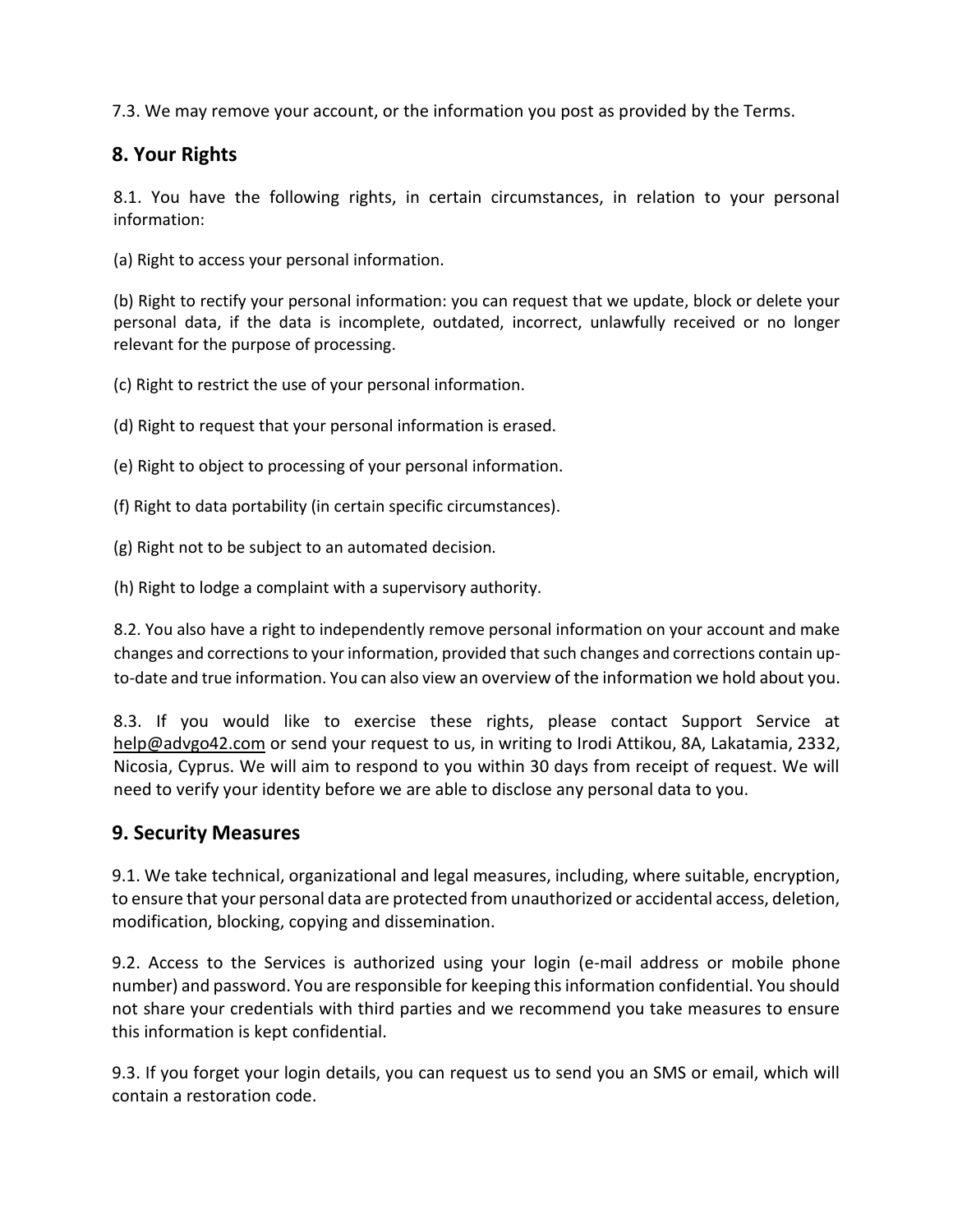7.3. We may remove your account, or the information you post as provided by the Terms.

### **8. Your Rights**

8.1. You have the following rights, in certain circumstances, in relation to your personal information:

(a) Right to access your personal information.

(b) Right to rectify your personal information: you can request that we update, block or delete your personal data, if the data is incomplete, outdated, incorrect, unlawfully received or no longer relevant for the purpose of processing.

(c) Right to restrict the use of your personal information.

(d) Right to request that your personal information is erased.

- (e) Right to object to processing of your personal information.
- (f) Right to data portability (in certain specific circumstances).
- (g) Right not to be subject to an automated decision.

(h) Right to lodge a complaint with a supervisory authority.

8.2. You also have a right to independently remove personal information on your account and make changes and corrections to your information, provided that such changes and corrections contain upto-date and true information. You can also view an overview of the information we hold about you.

8.3. If you would like to exercise these rights, please contact Support Service at [help@advgo42.com](mailto:help@advgo42.com) or send your request to us, in writing to Irodi Attikou, 8A, Lakatamia, 2332, Nicosia, Cyprus. We will aim to respond to you within 30 days from receipt of request. We will need to verify your identity before we are able to disclose any personal data to you.

#### **9. Security Measures**

9.1. We take technical, organizational and legal measures, including, where suitable, encryption, to ensure that your personal data are protected from unauthorized or accidental access, deletion, modification, blocking, copying and dissemination.

9.2. Access to the Services is authorized using your login (e-mail address or mobile phone number) and password. You are responsible for keeping this information confidential. You should not share your credentials with third parties and we recommend you take measures to ensure this information is kept confidential.

9.3. If you forget your login details, you can request us to send you an SMS or email, which will contain a restoration code.